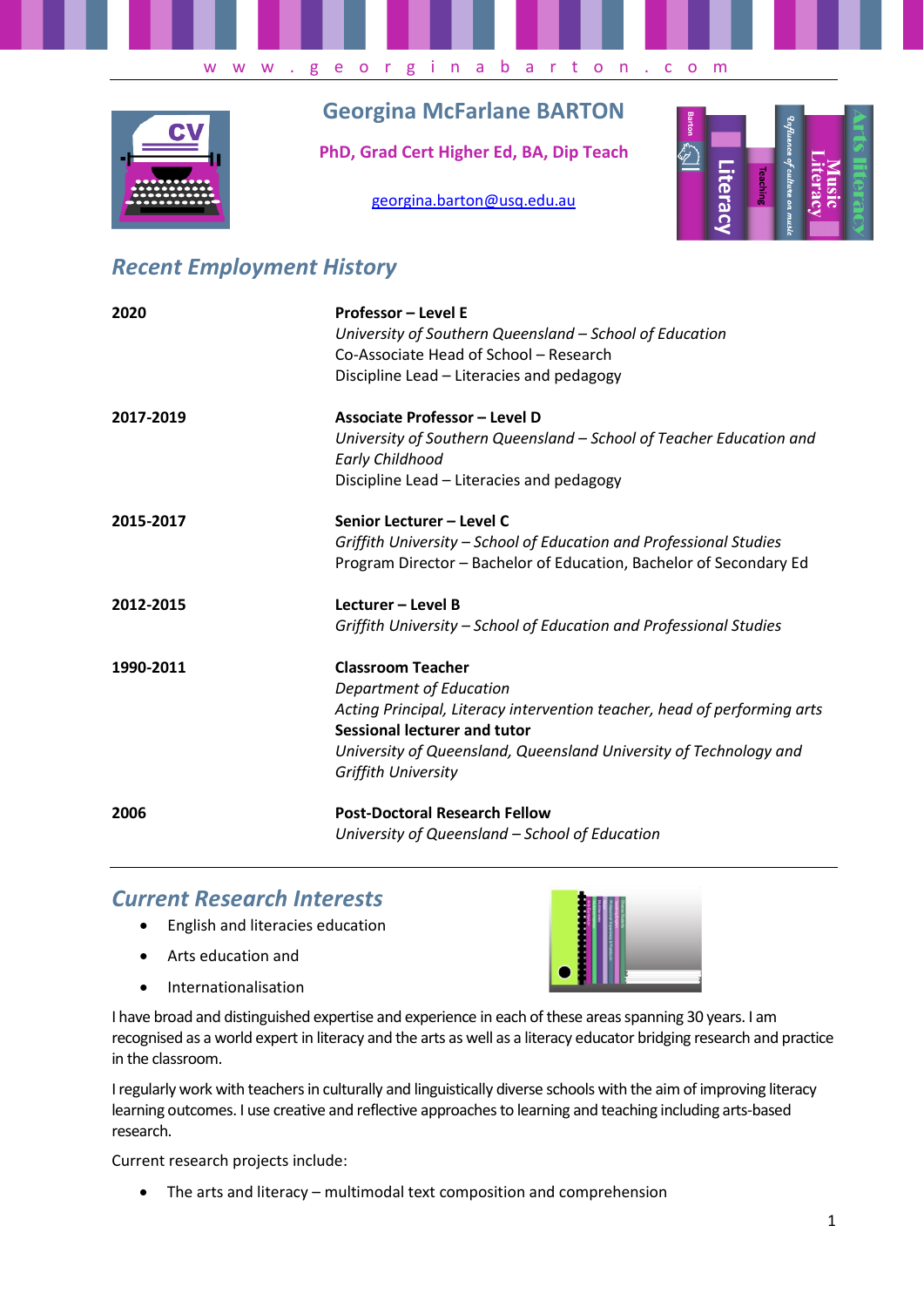

# **Georgina McFarlane BARTON**

**PhD, Grad Cert Higher Ed, BA, Dip Teach**

[georgina.barton@usq.edu.au](mailto:georgina.barton@usq.edu.au)



## *Recent Employment History*

| 2020      | Professor - Level E<br>University of Southern Queensland - School of Education<br>Co-Associate Head of School - Research<br>Discipline Lead - Literacies and pedagogy                                                                                              |
|-----------|--------------------------------------------------------------------------------------------------------------------------------------------------------------------------------------------------------------------------------------------------------------------|
| 2017-2019 | Associate Professor - Level D<br>University of Southern Queensland - School of Teacher Education and<br><b>Early Childhood</b>                                                                                                                                     |
|           | Discipline Lead - Literacies and pedagogy                                                                                                                                                                                                                          |
| 2015-2017 | Senior Lecturer - Level C<br>Griffith University - School of Education and Professional Studies<br>Program Director - Bachelor of Education, Bachelor of Secondary Ed                                                                                              |
| 2012-2015 | Lecturer - Level B<br>Griffith University - School of Education and Professional Studies                                                                                                                                                                           |
| 1990-2011 | <b>Classroom Teacher</b><br>Department of Education<br>Acting Principal, Literacy intervention teacher, head of performing arts<br><b>Sessional lecturer and tutor</b><br>University of Queensland, Queensland University of Technology and<br>Griffith University |
| 2006      | <b>Post-Doctoral Research Fellow</b><br>University of Queensland - School of Education                                                                                                                                                                             |

## *Current Research Interests*

- English and literacies education
- Arts education and
- **•** Internationalisation



I have broad and distinguished expertise and experience in each of these areas spanning 30 years. I am recognised as a world expert in literacy and the arts as well as a literacy educator bridging research and practice in the classroom.

I regularly work with teachers in culturally and linguistically diverse schools with the aim of improving literacy learning outcomes. I use creative and reflective approaches to learning and teaching including arts-based research.

Current research projects include:

The arts and literacy – multimodal text composition and comprehension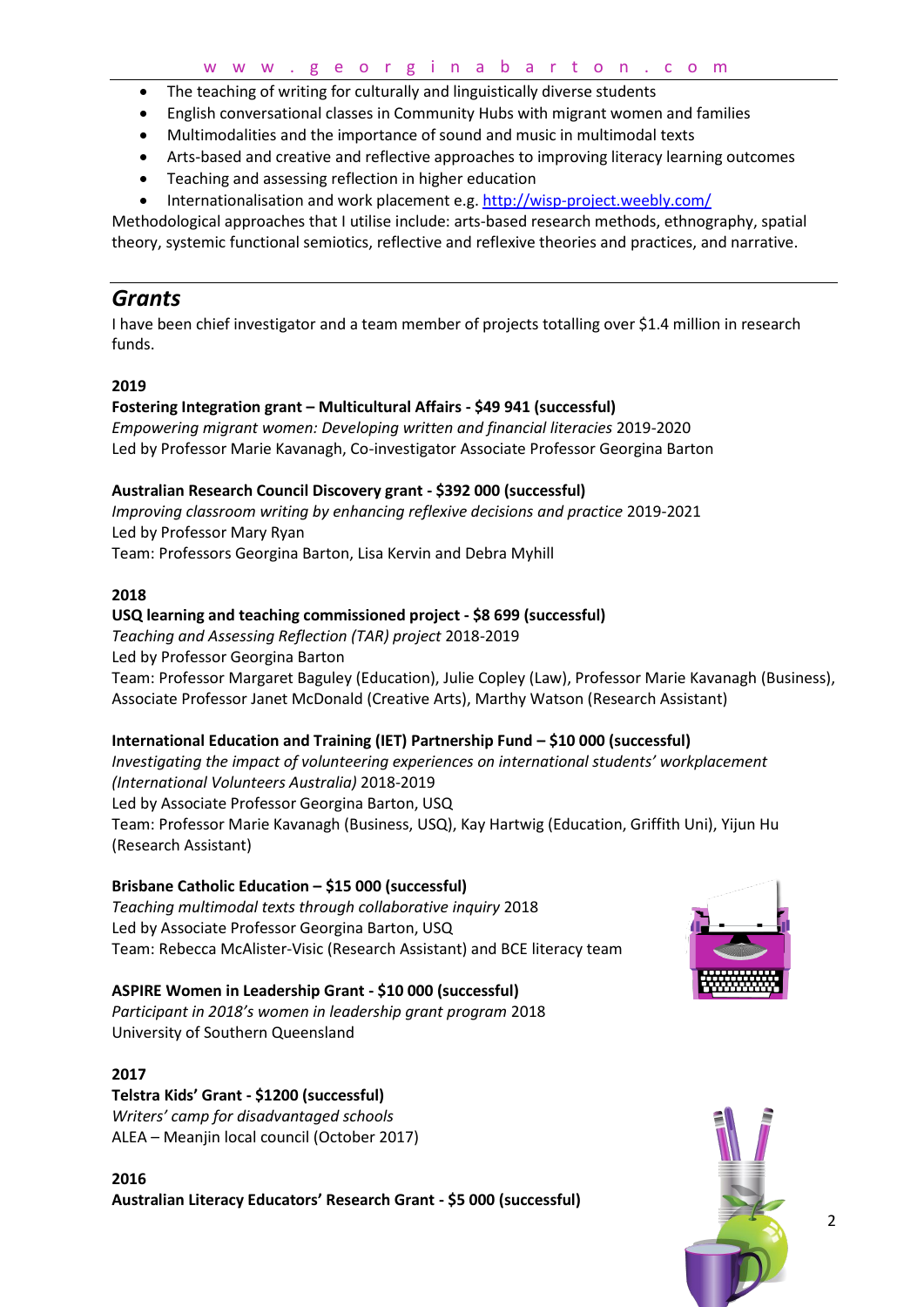- The teaching of writing for culturally and linguistically diverse students
- English conversational classes in Community Hubs with migrant women and families
- Multimodalities and the importance of sound and music in multimodal texts
- Arts-based and creative and reflective approaches to improving literacy learning outcomes
- Teaching and assessing reflection in higher education
- Internationalisation and work placement e.g.<http://wisp-project.weebly.com/>

Methodological approaches that I utilise include: arts-based research methods, ethnography, spatial theory, systemic functional semiotics, reflective and reflexive theories and practices, and narrative.

## *Grants*

I have been chief investigator and a team member of projects totalling over \$1.4 million in research funds.

### **2019**

#### **Fostering Integration grant – Multicultural Affairs - \$49 941 (successful)**

*Empowering migrant women: Developing written and financial literacies* 2019-2020 Led by Professor Marie Kavanagh, Co-investigator Associate Professor Georgina Barton

#### **Australian Research Council Discovery grant - \$392 000 (successful)**

*Improving classroom writing by enhancing reflexive decisions and practice* 2019-2021 Led by Professor Mary Ryan Team: Professors Georgina Barton, Lisa Kervin and Debra Myhill

#### **2018**

#### **USQ learning and teaching commissioned project - \$8 699 (successful)**

*Teaching and Assessing Reflection (TAR) project* 2018-2019 Led by Professor Georgina Barton Team: Professor Margaret Baguley (Education), Julie Copley (Law), Professor Marie Kavanagh (Business), Associate Professor Janet McDonald (Creative Arts), Marthy Watson (Research Assistant)

#### **International Education and Training (IET) Partnership Fund – \$10 000 (successful)**

*Investigating the impact of volunteering experiences on international students' workplacement (International Volunteers Australia)* 2018-2019 Led by Associate Professor Georgina Barton, USQ Team: Professor Marie Kavanagh (Business, USQ), Kay Hartwig (Education, Griffith Uni), Yijun Hu (Research Assistant)

#### **Brisbane Catholic Education – \$15 000 (successful)**

*Teaching multimodal texts through collaborative inquiry* 2018 Led by Associate Professor Georgina Barton, USQ Team: Rebecca McAlister-Visic (Research Assistant) and BCE literacy team

### **ASPIRE Women in Leadership Grant - \$10 000 (successful)**

*Participant in 2018's women in leadership grant program* 2018 University of Southern Queensland

#### **2017**

## **Telstra Kids' Grant - \$1200 (successful)**

*Writers' camp for disadvantaged schools* ALEA – Meanjin local council (October 2017)

**2016 Australian Literacy Educators' Research Grant - \$5 000 (successful)**



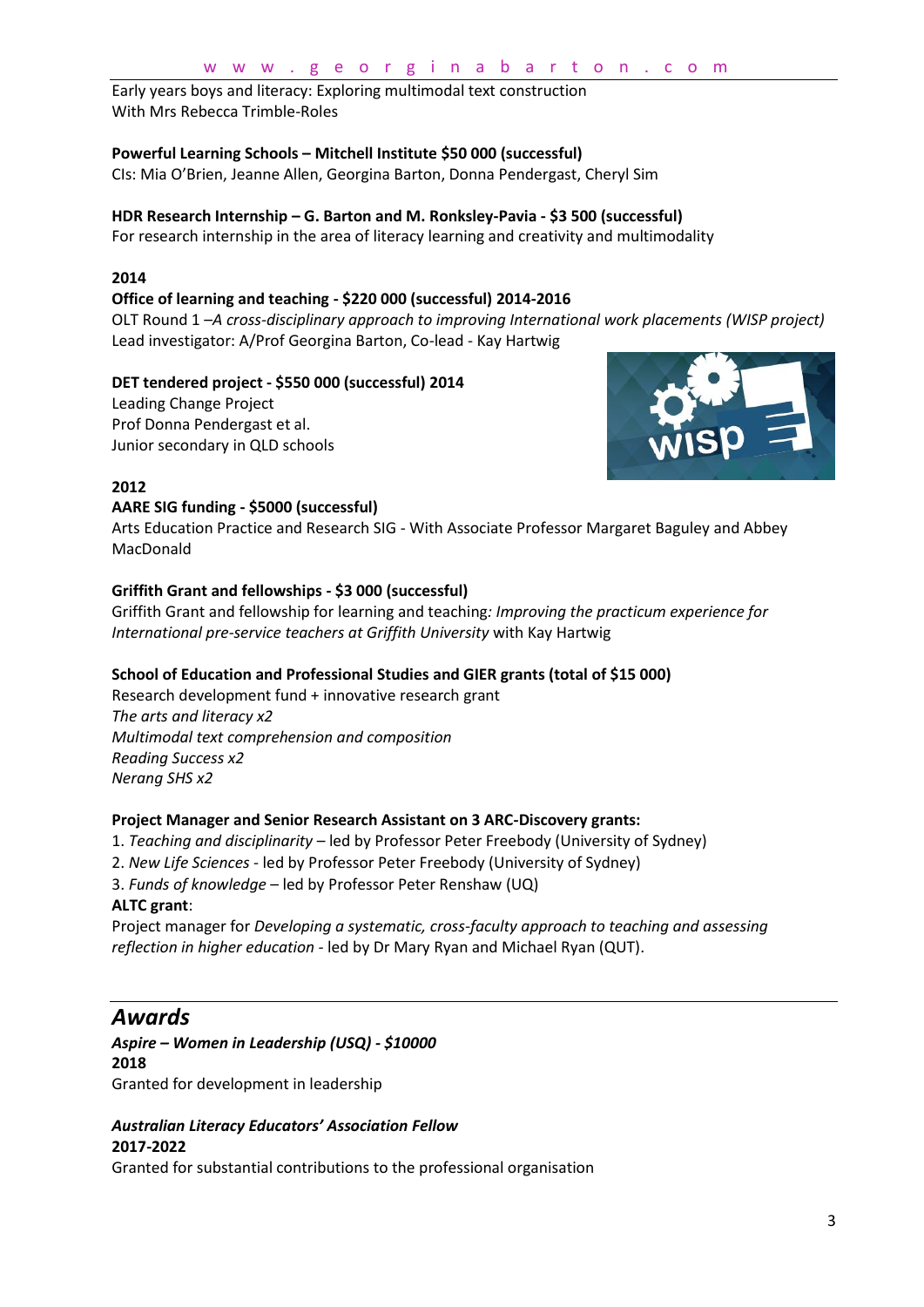#### w w w . g e o r g i n a b a r t o n . c o m

Early years boys and literacy: Exploring multimodal text construction With Mrs Rebecca Trimble-Roles

#### **Powerful Learning Schools – Mitchell Institute \$50 000 (successful)**

CIs: Mia O'Brien, Jeanne Allen, Georgina Barton, Donna Pendergast, Cheryl Sim

### **HDR Research Internship – G. Barton and M. Ronksley-Pavia - \$3 500 (successful)**

For research internship in the area of literacy learning and creativity and multimodality

#### **2014**

#### **Office of learning and teaching - \$220 000 (successful) 2014-2016**

OLT Round 1 –*A cross-disciplinary approach to improving International work placements (WISP project)* Lead investigator: A/Prof Georgina Barton, Co-lead - Kay Hartwig

### **DET tendered project - \$550 000 (successful) 2014**

Leading Change Project Prof Donna Pendergast et al. Junior secondary in QLD schools



### **2012**

#### **AARE SIG funding - \$5000 (successful)**

Arts Education Practice and Research SIG - With Associate Professor Margaret Baguley and Abbey MacDonald

#### **Griffith Grant and fellowships - \$3 000 (successful)**

Griffith Grant and fellowship for learning and teaching*: Improving the practicum experience for International pre-service teachers at Griffith University* with Kay Hartwig

#### **School of Education and Professional Studies and GIER grants (total of \$15 000)**

Research development fund + innovative research grant *The arts and literacy x2 Multimodal text comprehension and composition Reading Success x2 Nerang SHS x2*

#### **Project Manager and Senior Research Assistant on 3 ARC-Discovery grants:**

- 1. *Teaching and disciplinarity*  led by Professor Peter Freebody (University of Sydney)
- 2. *New Life Sciences*  led by Professor Peter Freebody (University of Sydney)
- 3. *Funds of knowledge*  led by Professor Peter Renshaw (UQ)

#### **ALTC grant**:

Project manager for *Developing a systematic, cross-faculty approach to teaching and assessing reflection in higher education -* led by Dr Mary Ryan and Michael Ryan (QUT).

## *Awards*

#### *Aspire – Women in Leadership (USQ) - \$10000* **2018**

Granted for development in leadership

### *Australian Literacy Educators' Association Fellow* **2017-2022**

Granted for substantial contributions to the professional organisation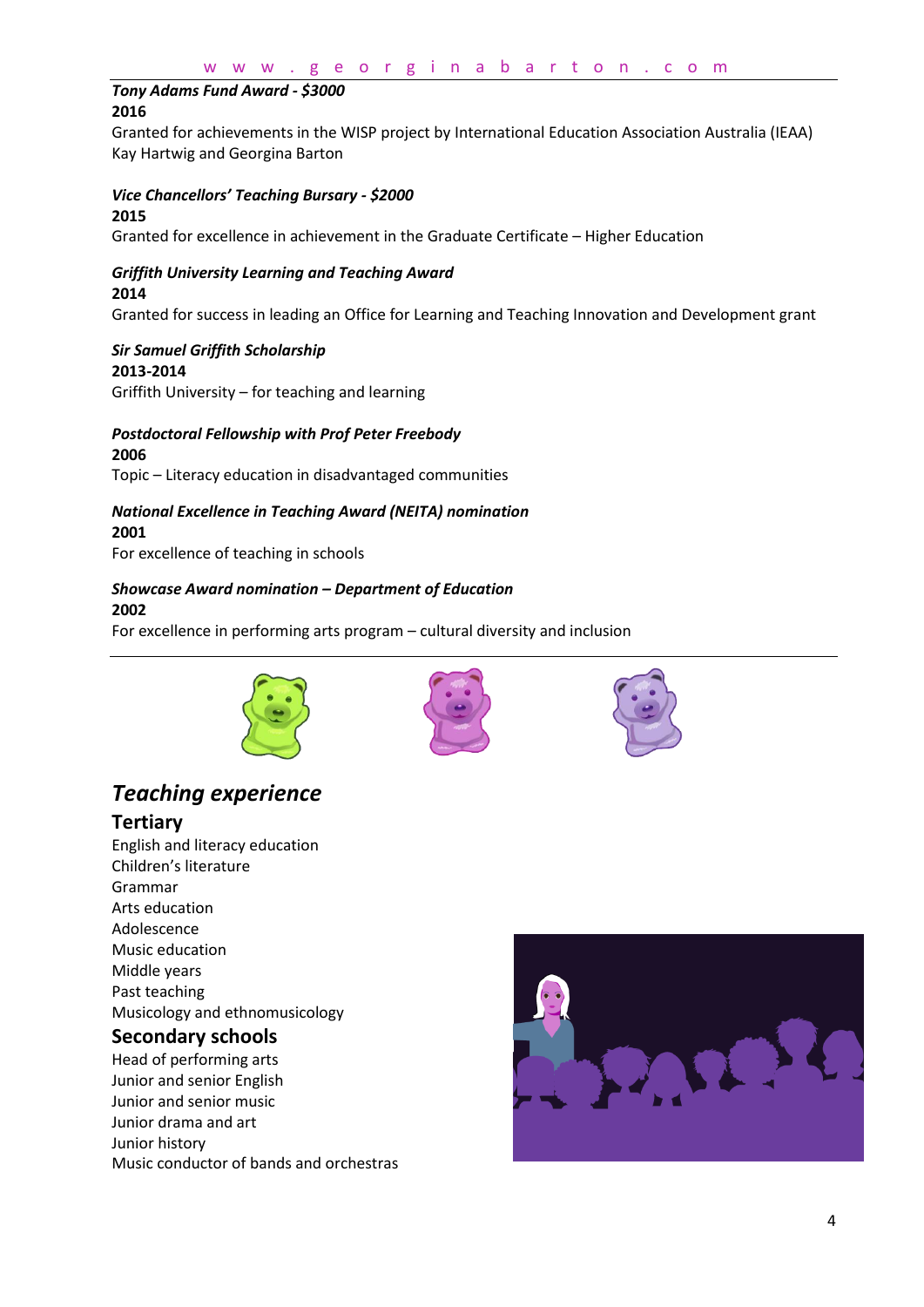#### *Tony Adams Fund Award - \$3000* **2016**

Granted for achievements in the WISP project by International Education Association Australia (IEAA) Kay Hartwig and Georgina Barton

### *Vice Chancellors' Teaching Bursary - \$2000*

#### **2015**

Granted for excellence in achievement in the Graduate Certificate – Higher Education

#### *Griffith University Learning and Teaching Award* **2014**

Granted for success in leading an Office for Learning and Teaching Innovation and Development grant

#### *Sir Samuel Griffith Scholarship* **2013-2014**

Griffith University – for teaching and learning

### *Postdoctoral Fellowship with Prof Peter Freebody* **2006**

Topic – Literacy education in disadvantaged communities

#### *National Excellence in Teaching Award (NEITA) nomination* **2001**

For excellence of teaching in schools

## *Showcase Award nomination – Department of Education*

#### **2002**

For excellence in performing arts program – cultural diversity and inclusion







## *Teaching experience* **Tertiary**

English and literacy education Children's literature Grammar Arts education Adolescence Music education Middle years Past teaching Musicology and ethnomusicology **Secondary schools**

Head of performing arts Junior and senior English Junior and senior music Junior drama and art Junior history Music conductor of bands and orchestras

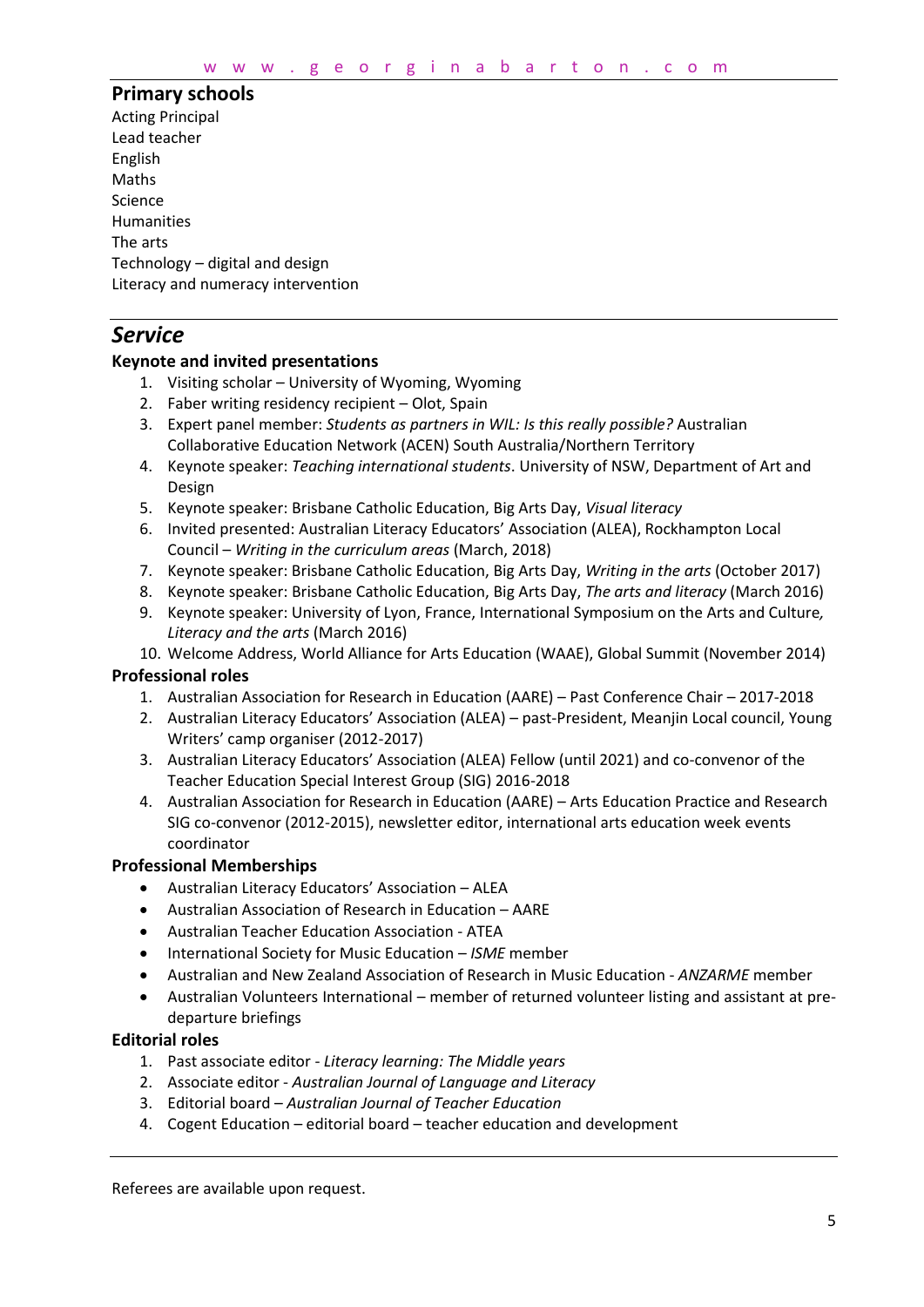#### **Primary schools**

Acting Principal Lead teacher English Maths Science Humanities The arts Technology – digital and design Literacy and numeracy intervention

## *Service*

#### **Keynote and invited presentations**

- 1. Visiting scholar University of Wyoming, Wyoming
- 2. Faber writing residency recipient Olot, Spain
- 3. Expert panel member: *Students as partners in WIL: Is this really possible?* Australian Collaborative Education Network (ACEN) South Australia/Northern Territory
- 4. Keynote speaker: *Teaching international students*. University of NSW, Department of Art and Design
- 5. Keynote speaker: Brisbane Catholic Education, Big Arts Day, *Visual literacy*
- 6. Invited presented: Australian Literacy Educators' Association (ALEA), Rockhampton Local Council – *Writing in the curriculum areas* (March, 2018)
- 7. Keynote speaker: Brisbane Catholic Education, Big Arts Day, *Writing in the arts* (October 2017)
- 8. Keynote speaker: Brisbane Catholic Education, Big Arts Day, *The arts and literacy* (March 2016)
- 9. Keynote speaker: University of Lyon, France, International Symposium on the Arts and Culture*, Literacy and the arts* (March 2016)

10. Welcome Address, World Alliance for Arts Education (WAAE), Global Summit (November 2014)

#### **Professional roles**

- 1. Australian Association for Research in Education (AARE) Past Conference Chair 2017-2018
- 2. Australian Literacy Educators' Association (ALEA) past-President, Meanjin Local council, Young Writers' camp organiser (2012-2017)
- 3. Australian Literacy Educators' Association (ALEA) Fellow (until 2021) and co-convenor of the Teacher Education Special Interest Group (SIG) 2016-2018
- 4. Australian Association for Research in Education (AARE) Arts Education Practice and Research SIG co-convenor (2012-2015), newsletter editor, international arts education week events coordinator

#### **Professional Memberships**

- Australian Literacy Educators' Association ALEA
- Australian Association of Research in Education AARE
- Australian Teacher Education Association ATEA
- International Society for Music Education *ISME* member
- Australian and New Zealand Association of Research in Music Education *ANZARME* member
- Australian Volunteers International member of returned volunteer listing and assistant at predeparture briefings

#### **Editorial roles**

- 1. Past associate editor *Literacy learning: The Middle years*
- 2. Associate editor *Australian Journal of Language and Literacy*
- 3. Editorial board *Australian Journal of Teacher Education*
- 4. Cogent Education editorial board teacher education and development

Referees are available upon request.